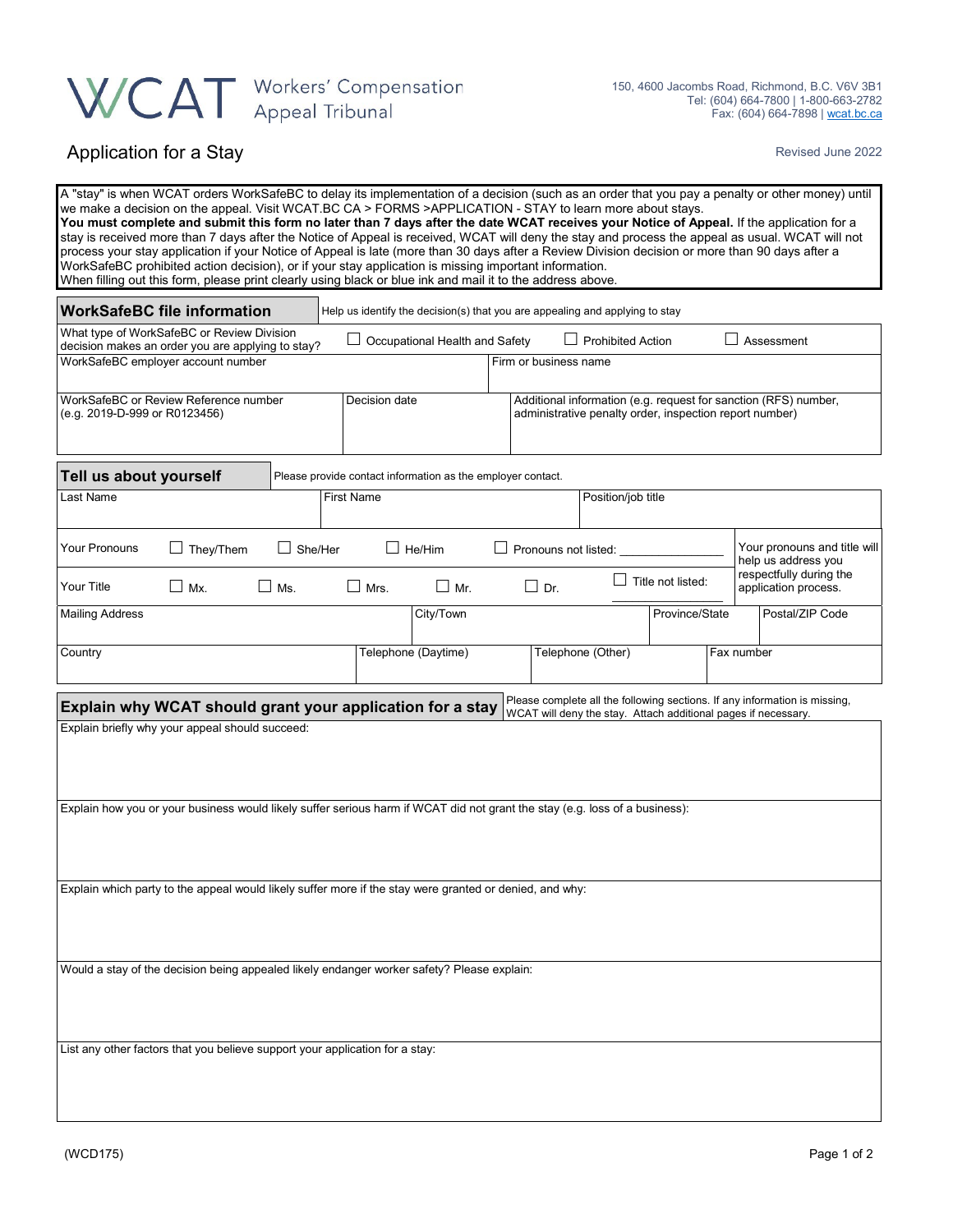## WCAT Workers' Compensation

## Application for a Stay Revised June 2022

| A "stay" is when WCAT orders WorkSafeBC to delay its implementation of a decision (such as an order that you pay a penalty or other money) until<br>we make a decision on the appeal. Visit WCAT.BC CA > FORMS >APPLICATION - STAY to learn more about stays.<br>You must complete and submit this form no later than 7 days after the date WCAT receives your Notice of Appeal. If the application for a<br>stay is received more than 7 days after the Notice of Appeal is received, WCAT will deny the stay and process the appeal as usual. WCAT will not<br>process your stay application if your Notice of Appeal is late (more than 30 days after a Review Division decision or more than 90 days after a<br>WorkSafeBC prohibited action decision), or if your stay application is missing important information.<br>When filling out this form, please print clearly using black or blue ink and mail it to the address above. |            |  |               |                                                             |                    |                                                                                                                            |                                                     |                           |  |                                                 |                 |  |
|-----------------------------------------------------------------------------------------------------------------------------------------------------------------------------------------------------------------------------------------------------------------------------------------------------------------------------------------------------------------------------------------------------------------------------------------------------------------------------------------------------------------------------------------------------------------------------------------------------------------------------------------------------------------------------------------------------------------------------------------------------------------------------------------------------------------------------------------------------------------------------------------------------------------------------------------|------------|--|---------------|-------------------------------------------------------------|--------------------|----------------------------------------------------------------------------------------------------------------------------|-----------------------------------------------------|---------------------------|--|-------------------------------------------------|-----------------|--|
| <b>WorkSafeBC file information</b><br>Help us identify the decision(s) that you are appealing and applying to stay                                                                                                                                                                                                                                                                                                                                                                                                                                                                                                                                                                                                                                                                                                                                                                                                                      |            |  |               |                                                             |                    |                                                                                                                            |                                                     |                           |  |                                                 |                 |  |
| What type of WorkSafeBC or Review Division<br><b>Prohibited Action</b><br>$\Box$ Assessment<br>$\Box$ Occupational Health and Safety<br>decision makes an order you are applying to stay?                                                                                                                                                                                                                                                                                                                                                                                                                                                                                                                                                                                                                                                                                                                                               |            |  |               |                                                             |                    |                                                                                                                            |                                                     |                           |  |                                                 |                 |  |
| WorkSafeBC employer account number<br>Firm or business name                                                                                                                                                                                                                                                                                                                                                                                                                                                                                                                                                                                                                                                                                                                                                                                                                                                                             |            |  |               |                                                             |                    |                                                                                                                            |                                                     |                           |  |                                                 |                 |  |
| WorkSafeBC or Review Reference number<br>(e.g. 2019-D-999 or R0123456)                                                                                                                                                                                                                                                                                                                                                                                                                                                                                                                                                                                                                                                                                                                                                                                                                                                                  |            |  | Decision date |                                                             |                    | Additional information (e.g. request for sanction (RFS) number,<br>administrative penalty order, inspection report number) |                                                     |                           |  |                                                 |                 |  |
| Tell us about yourself                                                                                                                                                                                                                                                                                                                                                                                                                                                                                                                                                                                                                                                                                                                                                                                                                                                                                                                  |            |  |               | Please provide contact information as the employer contact. |                    |                                                                                                                            |                                                     |                           |  |                                                 |                 |  |
| Last Name<br><b>First Name</b>                                                                                                                                                                                                                                                                                                                                                                                                                                                                                                                                                                                                                                                                                                                                                                                                                                                                                                          |            |  |               |                                                             | Position/job title |                                                                                                                            |                                                     |                           |  |                                                 |                 |  |
| $\Box$ They/Them<br><b>Your Pronouns</b>                                                                                                                                                                                                                                                                                                                                                                                                                                                                                                                                                                                                                                                                                                                                                                                                                                                                                                | She/Her    |  |               | $\Box$ He/Him                                               |                    | Pronouns not listed:                                                                                                       | Your pronouns and title will<br>help us address you |                           |  |                                                 |                 |  |
| Your Title<br>$\Box$ Mx.                                                                                                                                                                                                                                                                                                                                                                                                                                                                                                                                                                                                                                                                                                                                                                                                                                                                                                                | $\Box$ Ms. |  | $\Box$ Mrs.   | $\Box$ Mr.                                                  |                    | $\Box$ Dr.                                                                                                                 |                                                     | $\perp$ Title not listed: |  | respectfully during the<br>application process. |                 |  |
| <b>Mailing Address</b>                                                                                                                                                                                                                                                                                                                                                                                                                                                                                                                                                                                                                                                                                                                                                                                                                                                                                                                  |            |  |               | City/Town                                                   |                    |                                                                                                                            |                                                     | Province/State            |  |                                                 | Postal/ZIP Code |  |
| Country                                                                                                                                                                                                                                                                                                                                                                                                                                                                                                                                                                                                                                                                                                                                                                                                                                                                                                                                 |            |  |               | Telephone (Daytime)<br>Telephone (Other)                    |                    |                                                                                                                            |                                                     | Fax number                |  |                                                 |                 |  |
| Please complete all the following sections. If any information is missing,<br>Explain why WCAT should grant your application for a stay<br>WCAT will deny the stay. Attach additional pages if necessary.                                                                                                                                                                                                                                                                                                                                                                                                                                                                                                                                                                                                                                                                                                                               |            |  |               |                                                             |                    |                                                                                                                            |                                                     |                           |  |                                                 |                 |  |
| Explain briefly why your appeal should succeed:                                                                                                                                                                                                                                                                                                                                                                                                                                                                                                                                                                                                                                                                                                                                                                                                                                                                                         |            |  |               |                                                             |                    |                                                                                                                            |                                                     |                           |  |                                                 |                 |  |
| Explain how you or your business would likely suffer serious harm if WCAT did not grant the stay (e.g. loss of a business):                                                                                                                                                                                                                                                                                                                                                                                                                                                                                                                                                                                                                                                                                                                                                                                                             |            |  |               |                                                             |                    |                                                                                                                            |                                                     |                           |  |                                                 |                 |  |
| Explain which party to the appeal would likely suffer more if the stay were granted or denied, and why:                                                                                                                                                                                                                                                                                                                                                                                                                                                                                                                                                                                                                                                                                                                                                                                                                                 |            |  |               |                                                             |                    |                                                                                                                            |                                                     |                           |  |                                                 |                 |  |
| Would a stay of the decision being appealed likely endanger worker safety? Please explain:                                                                                                                                                                                                                                                                                                                                                                                                                                                                                                                                                                                                                                                                                                                                                                                                                                              |            |  |               |                                                             |                    |                                                                                                                            |                                                     |                           |  |                                                 |                 |  |
| List any other factors that you believe support your application for a stay:                                                                                                                                                                                                                                                                                                                                                                                                                                                                                                                                                                                                                                                                                                                                                                                                                                                            |            |  |               |                                                             |                    |                                                                                                                            |                                                     |                           |  |                                                 |                 |  |